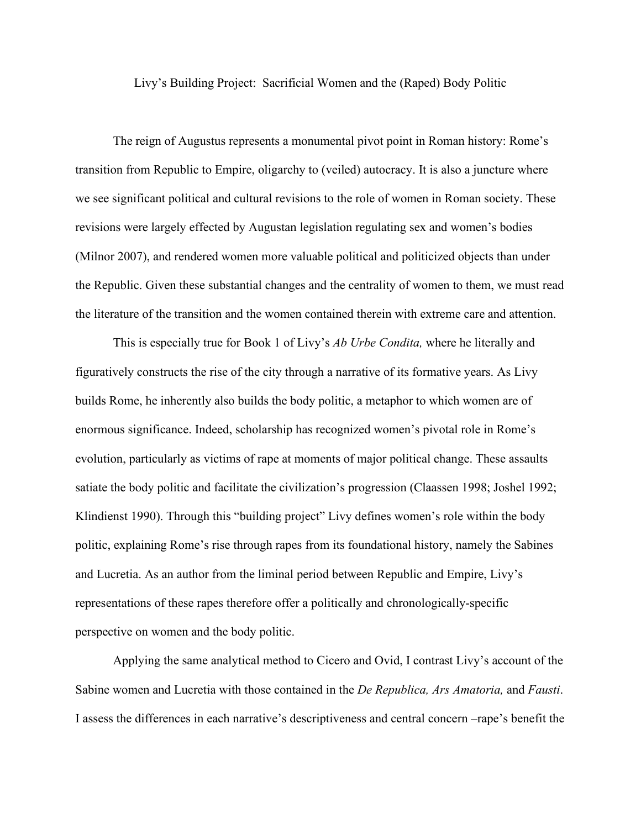Livy's Building Project: Sacrificial Women and the (Raped) Body Politic

The reign of Augustus represents a monumental pivot point in Roman history: Rome's transition from Republic to Empire, oligarchy to (veiled) autocracy. It is also a juncture where we see significant political and cultural revisions to the role of women in Roman society. These revisions were largely effected by Augustan legislation regulating sex and women's bodies (Milnor 2007), and rendered women more valuable political and politicized objects than under the Republic. Given these substantial changes and the centrality of women to them, we must read the literature of the transition and the women contained therein with extreme care and attention.

This is especially true for Book 1 of Livy's *Ab Urbe Condita,* where he literally and figuratively constructs the rise of the city through a narrative of its formative years. As Livy builds Rome, he inherently also builds the body politic, a metaphor to which women are of enormous significance. Indeed, scholarship has recognized women's pivotal role in Rome's evolution, particularly as victims of rape at moments of major political change. These assaults satiate the body politic and facilitate the civilization's progression (Claassen 1998; Joshel 1992; Klindienst 1990). Through this "building project" Livy defines women's role within the body politic, explaining Rome's rise through rapes from its foundational history, namely the Sabines and Lucretia. As an author from the liminal period between Republic and Empire, Livy's representations of these rapes therefore offer a politically and chronologically-specific perspective on women and the body politic.

Applying the same analytical method to Cicero and Ovid, I contrast Livy's account of the Sabine women and Lucretia with those contained in the *De Republica, Ars Amatoria,* and *Fausti*. I assess the differences in each narrative's descriptiveness and central concern –rape's benefit the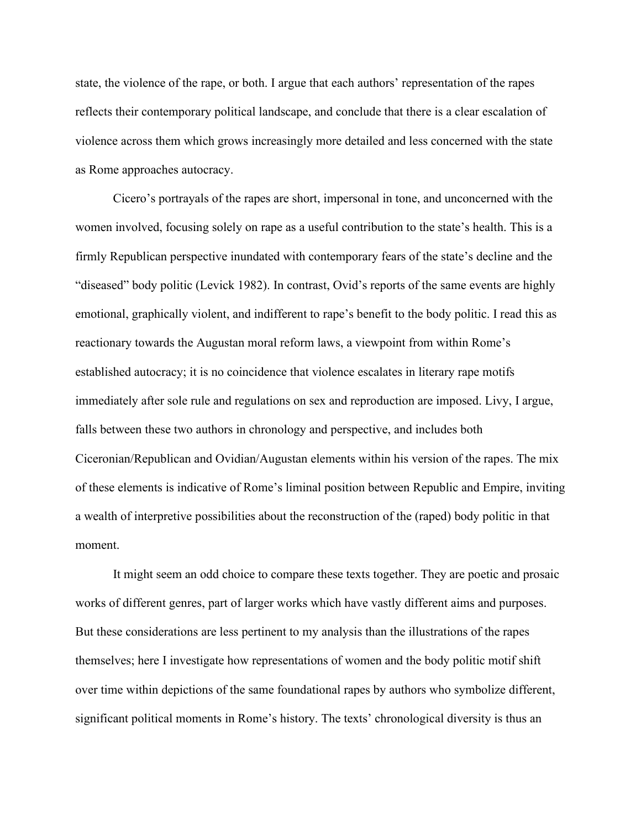state, the violence of the rape, or both. I argue that each authors' representation of the rapes reflects their contemporary political landscape, and conclude that there is a clear escalation of violence across them which grows increasingly more detailed and less concerned with the state as Rome approaches autocracy.

Cicero's portrayals of the rapes are short, impersonal in tone, and unconcerned with the women involved, focusing solely on rape as a useful contribution to the state's health. This is a firmly Republican perspective inundated with contemporary fears of the state's decline and the "diseased" body politic (Levick 1982). In contrast, Ovid's reports of the same events are highly emotional, graphically violent, and indifferent to rape's benefit to the body politic. I read this as reactionary towards the Augustan moral reform laws, a viewpoint from within Rome's established autocracy; it is no coincidence that violence escalates in literary rape motifs immediately after sole rule and regulations on sex and reproduction are imposed. Livy, I argue, falls between these two authors in chronology and perspective, and includes both Ciceronian/Republican and Ovidian/Augustan elements within his version of the rapes. The mix of these elements is indicative of Rome's liminal position between Republic and Empire, inviting a wealth of interpretive possibilities about the reconstruction of the (raped) body politic in that moment.

It might seem an odd choice to compare these texts together. They are poetic and prosaic works of different genres, part of larger works which have vastly different aims and purposes. But these considerations are less pertinent to my analysis than the illustrations of the rapes themselves; here I investigate how representations of women and the body politic motif shift over time within depictions of the same foundational rapes by authors who symbolize different, significant political moments in Rome's history. The texts' chronological diversity is thus an